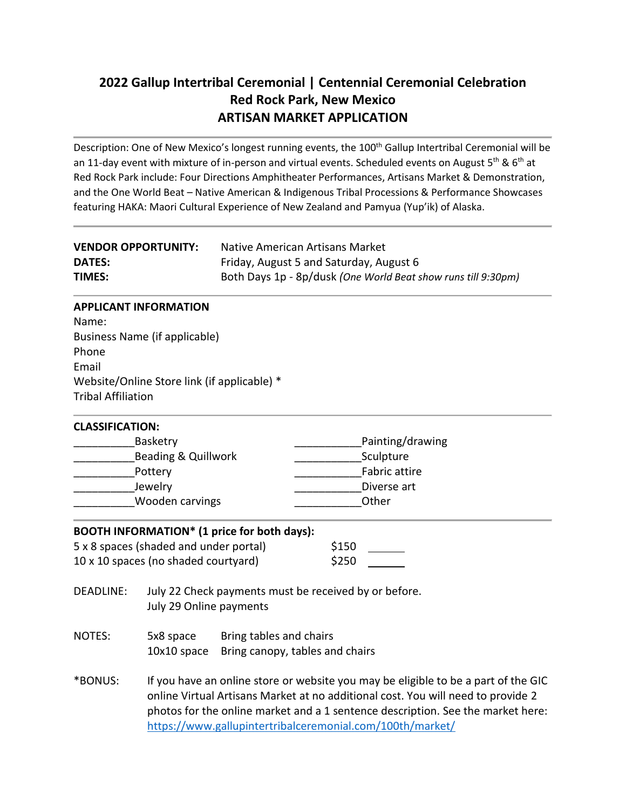# **2022 Gallup Intertribal Ceremonial | Centennial Ceremonial Celebration Red Rock Park, New Mexico ARTISAN MARKET APPLICATION**

Description: One of New Mexico's longest running events, the 100<sup>th</sup> Gallup Intertribal Ceremonial will be an 11-day event with mixture of in-person and virtual events. Scheduled events on August 5<sup>th</sup> & 6<sup>th</sup> at Red Rock Park include: Four Directions Amphitheater Performances, Artisans Market & Demonstration, and the One World Beat – Native American & Indigenous Tribal Processions & Performance Showcases featuring HAKA: Maori Cultural Experience of New Zealand and Pamyua (Yup'ik) of Alaska.

| <b>VENDOR OPPORTUNITY:</b> | Native American Artisans Market                               |
|----------------------------|---------------------------------------------------------------|
| <b>DATES:</b>              | Friday, August 5 and Saturday, August 6                       |
| <b>TIMES:</b>              | Both Days 1p - 8p/dusk (One World Beat show runs till 9:30pm) |

#### **APPLICANT INFORMATION**

Name: Business Name (if applicable) Phone Email Website/Online Store link (if applicable) \* Tribal Affiliation

| <b>CLASSIFICATION:</b> |                  |
|------------------------|------------------|
| Basketry               | Painting/drawing |
| Beading & Quillwork    | Sculpture        |
| Pottery                | Fabric attire    |
| Jewelry                | Diverse art      |
| Wooden carvings        | Other            |
|                        |                  |

| BOOTH INFORMATION* (1 price for both days): |       |  |  |  |
|---------------------------------------------|-------|--|--|--|
| 5 x 8 spaces (shaded and under portal)      | \$150 |  |  |  |
| 10 x 10 spaces (no shaded courtyard)        | \$250 |  |  |  |

- DEADLINE: July 22 Check payments must be received by or before. July 29 Online payments
- NOTES: 5x8 space Bring tables and chairs 10x10 space Bring canopy, tables and chairs
- \*BONUS: If you have an online store or website you may be eligible to be a part of the GIC online Virtual Artisans Market at no additional cost. You will need to provide 2 photos for the online market and a 1 sentence description. See the market here: <https://www.gallupintertribalceremonial.com/100th/market/>